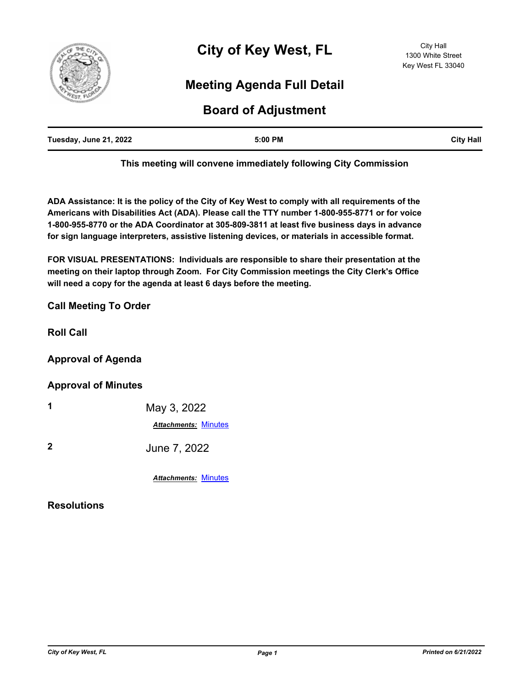

# **Meeting Agenda Full Detail**

# **Board of Adjustment**

| Tuesday, June 21, 2022 | 5:00 PM | <b>City Hall</b> |
|------------------------|---------|------------------|
|                        |         |                  |

**This meeting will convene immediately following City Commission**

**ADA Assistance: It is the policy of the City of Key West to comply with all requirements of the Americans with Disabilities Act (ADA). Please call the TTY number 1-800-955-8771 or for voice 1-800-955-8770 or the ADA Coordinator at 305-809-3811 at least five business days in advance for sign language interpreters, assistive listening devices, or materials in accessible format.**

**FOR VISUAL PRESENTATIONS: Individuals are responsible to share their presentation at the meeting on their laptop through Zoom. For City Commission meetings the City Clerk's Office will need a copy for the agenda at least 6 days before the meeting.**

## **Call Meeting To Order**

**Roll Call**

## **Approval of Agenda**

### **Approval of Minutes**

| 1              | May 3, 2022                 |  |
|----------------|-----------------------------|--|
|                | <b>Attachments: Minutes</b> |  |
| $\mathfrak{p}$ | June 7, 2022                |  |

*Attachments:* [Minutes](http://KeyWest.legistar.com/gateway.aspx?M=F&ID=66091e79-5ecb-4a07-84bb-28023992c528.pdf)

### **Resolutions**